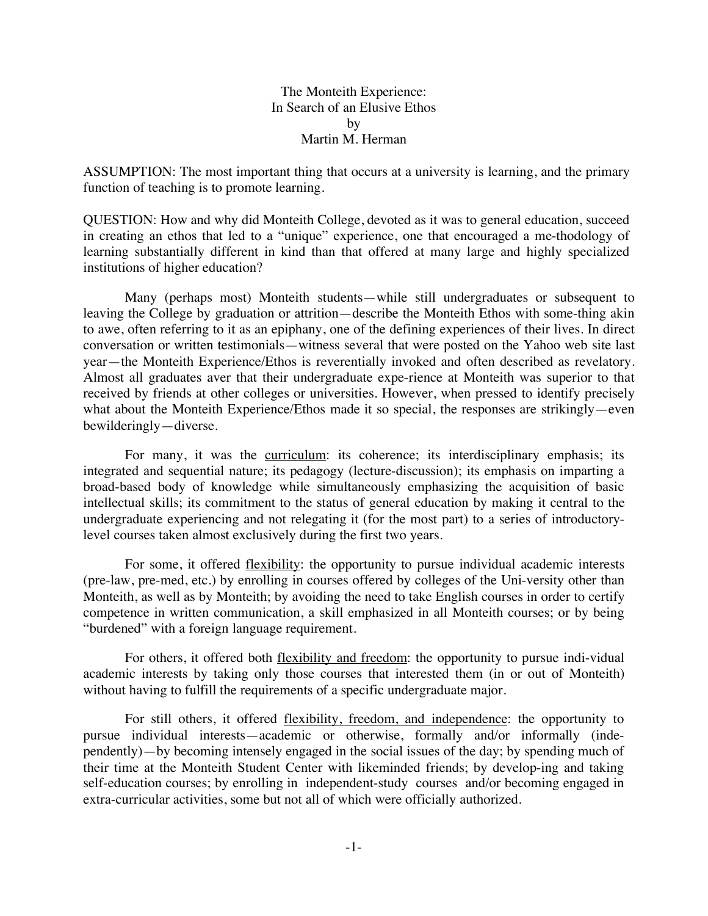The Monteith Experience: In Search of an Elusive Ethos by Martin M. Herman

ASSUMPTION: The most important thing that occurs at a university is learning, and the primary function of teaching is to promote learning.

QUESTION: How and why did Monteith College, devoted as it was to general education, succeed in creating an ethos that led to a "unique" experience, one that encouraged a me-thodology of learning substantially different in kind than that offered at many large and highly specialized institutions of higher education?

Many (perhaps most) Monteith students—while still undergraduates or subsequent to leaving the College by graduation or attrition—describe the Monteith Ethos with some-thing akin to awe, often referring to it as an epiphany, one of the defining experiences of their lives. In direct conversation or written testimonials—witness several that were posted on the Yahoo web site last year—the Monteith Experience/Ethos is reverentially invoked and often described as revelatory. Almost all graduates aver that their undergraduate expe-rience at Monteith was superior to that received by friends at other colleges or universities. However, when pressed to identify precisely what about the Monteith Experience/Ethos made it so special, the responses are strikingly—even bewilderingly—diverse.

For many, it was the curriculum: its coherence; its interdisciplinary emphasis; its integrated and sequential nature; its pedagogy (lecture-discussion); its emphasis on imparting a broad-based body of knowledge while simultaneously emphasizing the acquisition of basic intellectual skills; its commitment to the status of general education by making it central to the undergraduate experiencing and not relegating it (for the most part) to a series of introductorylevel courses taken almost exclusively during the first two years.

For some, it offered <u>flexibility</u>: the opportunity to pursue individual academic interests (pre-law, pre-med, etc.) by enrolling in courses offered by colleges of the Uni-versity other than Monteith, as well as by Monteith; by avoiding the need to take English courses in order to certify competence in written communication, a skill emphasized in all Monteith courses; or by being "burdened" with a foreign language requirement.

For others, it offered both flexibility and freedom: the opportunity to pursue indi-vidual academic interests by taking only those courses that interested them (in or out of Monteith) without having to fulfill the requirements of a specific undergraduate major.

For still others, it offered flexibility, freedom, and independence: the opportunity to pursue individual interests—academic or otherwise, formally and/or informally (independently)—by becoming intensely engaged in the social issues of the day; by spending much of their time at the Monteith Student Center with likeminded friends; by develop-ing and taking self-education courses; by enrolling in independent-study courses and/or becoming engaged in extra-curricular activities, some but not all of which were officially authorized.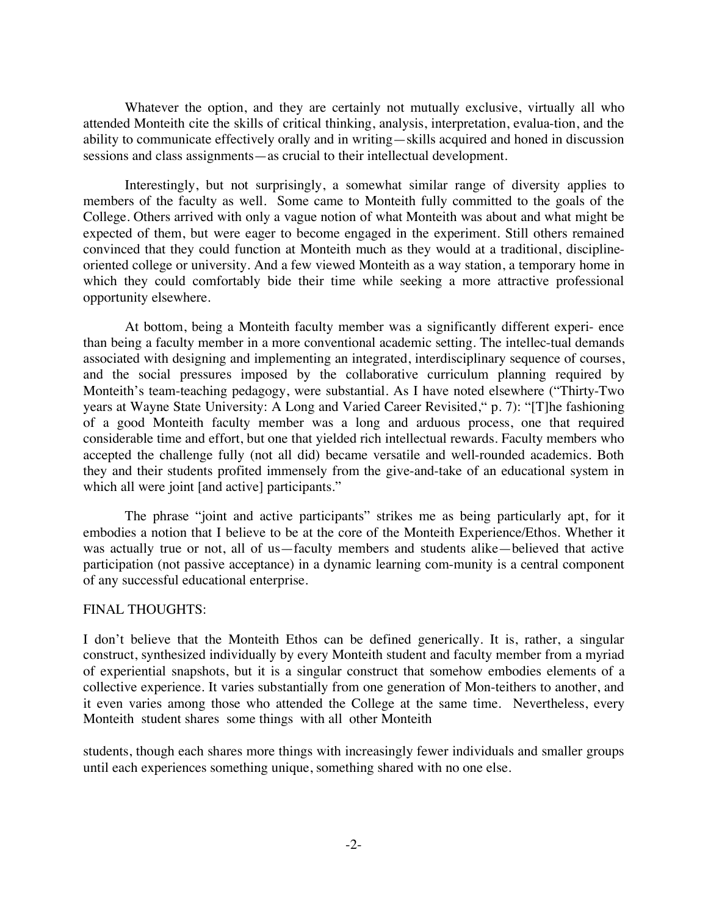Whatever the option, and they are certainly not mutually exclusive, virtually all who attended Monteith cite the skills of critical thinking, analysis, interpretation, evalua-tion, and the ability to communicate effectively orally and in writing—skills acquired and honed in discussion sessions and class assignments—as crucial to their intellectual development.

Interestingly, but not surprisingly, a somewhat similar range of diversity applies to members of the faculty as well. Some came to Monteith fully committed to the goals of the College. Others arrived with only a vague notion of what Monteith was about and what might be expected of them, but were eager to become engaged in the experiment. Still others remained convinced that they could function at Monteith much as they would at a traditional, disciplineoriented college or university. And a few viewed Monteith as a way station, a temporary home in which they could comfortably bide their time while seeking a more attractive professional opportunity elsewhere.

At bottom, being a Monteith faculty member was a significantly different experi- ence than being a faculty member in a more conventional academic setting. The intellec-tual demands associated with designing and implementing an integrated, interdisciplinary sequence of courses, and the social pressures imposed by the collaborative curriculum planning required by Monteith's team-teaching pedagogy, were substantial. As I have noted elsewhere ("Thirty-Two years at Wayne State University: A Long and Varied Career Revisited," p. 7): "[T]he fashioning of a good Monteith faculty member was a long and arduous process, one that required considerable time and effort, but one that yielded rich intellectual rewards. Faculty members who accepted the challenge fully (not all did) became versatile and well-rounded academics. Both they and their students profited immensely from the give-and-take of an educational system in which all were joint [and active] participants."

The phrase "joint and active participants" strikes me as being particularly apt, for it embodies a notion that I believe to be at the core of the Monteith Experience/Ethos. Whether it was actually true or not, all of us—faculty members and students alike—believed that active participation (not passive acceptance) in a dynamic learning com-munity is a central component of any successful educational enterprise.

## FINAL THOUGHTS:

I don't believe that the Monteith Ethos can be defined generically. It is, rather, a singular construct, synthesized individually by every Monteith student and faculty member from a myriad of experiential snapshots, but it is a singular construct that somehow embodies elements of a collective experience. It varies substantially from one generation of Mon-teithers to another, and it even varies among those who attended the College at the same time. Nevertheless, every Monteith student shares some things with all other Monteith

students, though each shares more things with increasingly fewer individuals and smaller groups until each experiences something unique, something shared with no one else.